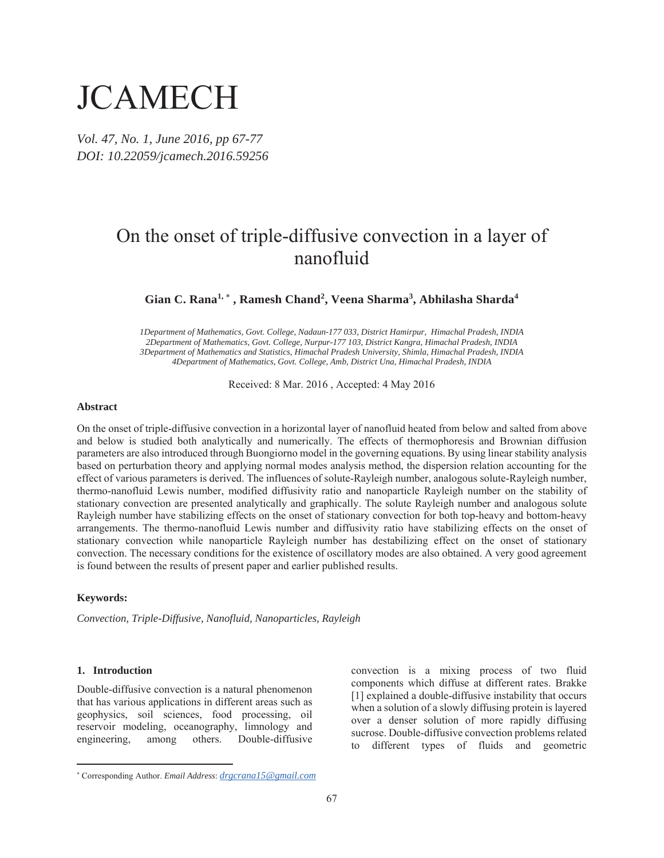# **JCAMECH**

*Vol. 47, No. 1, June 2016, pp 67-77 DOI: 10.22059/jcamech.2016.59256* 

# On the onset of triple-diffusive convection in a layer of nanofluid

Gian C. Rana<sup>1,</sup> \*, Ramesh Chand<sup>2</sup>, Veena Sharma<sup>3</sup>, Abhilasha Sharda<sup>4</sup>

*1Department of Mathematics, Govt. College, Nadaun-177 033, District Hamirpur, Himachal Pradesh, INDIA 2Department of Mathematics, Govt. College, Nurpur-177 103, District Kangra, Himachal Pradesh, INDIA 3Department of Mathematics and Statistics, Himachal Pradesh University, Shimla, Himachal Pradesh, INDIA 4Department of Mathematics, Govt. College, Amb, District Una, Himachal Pradesh, INDIA* 

Received: 8 Mar. 2016 , Accepted: 4 May 2016

### **Abstract**

On the onset of triple-diffusive convection in a horizontal layer of nanofluid heated from below and salted from above and below is studied both analytically and numerically. The effects of thermophoresis and Brownian diffusion parameters are also introduced through Buongiorno model in the governing equations. By using linear stability analysis based on perturbation theory and applying normal modes analysis method, the dispersion relation accounting for the effect of various parameters is derived. The influences of solute-Rayleigh number, analogous solute-Rayleigh number, thermo-nanofluid Lewis number, modified diffusivity ratio and nanoparticle Rayleigh number on the stability of stationary convection are presented analytically and graphically. The solute Rayleigh number and analogous solute Rayleigh number have stabilizing effects on the onset of stationary convection for both top-heavy and bottom-heavy arrangements. The thermo-nanofluid Lewis number and diffusivity ratio have stabilizing effects on the onset of stationary convection while nanoparticle Rayleigh number has destabilizing effect on the onset of stationary convection. The necessary conditions for the existence of oscillatory modes are also obtained. A very good agreement is found between the results of present paper and earlier published results.

#### **Keywords:**

*Convection, Triple-Diffusive, Nanofluid, Nanoparticles, Rayleigh* 

#### **1. Introduction**

Double-diffusive convection is a natural phenomenon that has various applications in different areas such as geophysics, soil sciences, food processing, oil reservoir modeling, oceanography, limnology and engineering, among others. Double-diffusive

convection is a mixing process of two fluid components which diffuse at different rates. Brakke [1] explained a double-diffusive instability that occurs when a solution of a slowly diffusing protein is layered over a denser solution of more rapidly diffusing sucrose. Double-diffusive convection problems related to different types of fluids and geometric

 Corresponding Author. *Email Address*: *drgcrana15@gmail.com*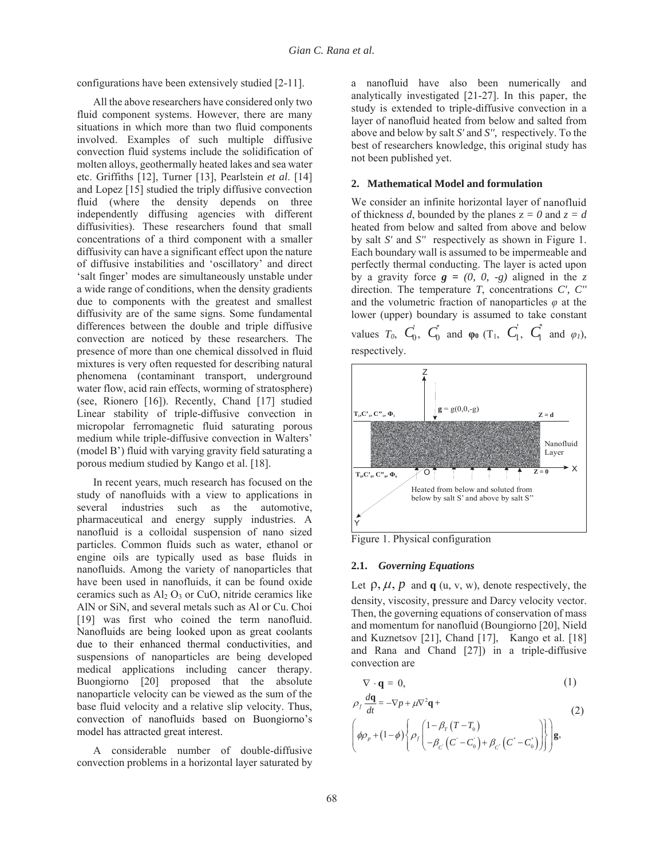configurations have been extensively studied [2-11].

All the above researchers have considered only two fluid component systems. However, there are many situations in which more than two fluid components involved. Examples of such multiple diffusive convection fluid systems include the solidification of molten alloys, geothermally heated lakes and sea water etc. Griffiths [12], Turner [13], Pearlstein *et al*. [14] and Lopez [15] studied the triply diffusive convection fluid (where the density depends on three independently diffusing agencies with different diffusivities). These researchers found that small concentrations of a third component with a smaller diffusivity can have a significant effect upon the nature of diffusive instabilities and 'oscillatory' and direct 'salt finger' modes are simultaneously unstable under a wide range of conditions, when the density gradients due to components with the greatest and smallest diffusivity are of the same signs. Some fundamental differences between the double and triple diffusive convection are noticed by these researchers. The presence of more than one chemical dissolved in fluid mixtures is very often requested for describing natural phenomena (contaminant transport, underground water flow, acid rain effects, worming of stratosphere) (see, Rionero [16]). Recently, Chand [17] studied Linear stability of triple-diffusive convection in micropolar ferromagnetic fluid saturating porous medium while triple-diffusive convection in Walters' (model B') fluid with varying gravity field saturating a porous medium studied by Kango et al. [18].

In recent years, much research has focused on the study of nanofluids with a view to applications in several industries such as the automotive, pharmaceutical and energy supply industries. A nanofluid is a colloidal suspension of nano sized particles. Common fluids such as water, ethanol or engine oils are typically used as base fluids in nanofluids. Among the variety of nanoparticles that have been used in nanofluids, it can be found oxide ceramics such as  $Al<sub>2</sub> O<sub>3</sub>$  or CuO, nitride ceramics like AlN or SiN, and several metals such as Al or Cu. Choi [19] was first who coined the term nanofluid. Nanofluids are being looked upon as great coolants due to their enhanced thermal conductivities, and suspensions of nanoparticles are being developed medical applications including cancer therapy. Buongiorno [20] proposed that the absolute nanoparticle velocity can be viewed as the sum of the base fluid velocity and a relative slip velocity. Thus, convection of nanofluids based on Buongiorno's model has attracted great interest.

A considerable number of double-diffusive convection problems in a horizontal layer saturated by a nanofluid have also been numerically and analytically investigated [21-27]. In this paper, the study is extended to triple-diffusive convection in a layer of nanofluid heated from below and salted from above and below by salt *S'* and *S'',* respectively. To the best of researchers knowledge, this original study has not been published yet.

#### **2. Mathematical Model and formulation**

We consider an infinite horizontal layer of nanofluid of thickness *d*, bounded by the planes  $z = 0$  and  $z = d$ heated from below and salted from above and below by salt *S'* and *S''* respectively as shown in Figure 1. Each boundary wall is assumed to be impermeable and perfectly thermal conducting. The layer is acted upon by a gravity force  $g = (0, 0, -g)$  aligned in the *z* direction. The temperature *T*, concentrations *C', C''* and the volumetric fraction of nanoparticles  $\varphi$  at the lower (upper) boundary is assumed to take constant values  $T_0$ ,  $C_0$ ,  $C_0$  and  $\varphi_0$  (T<sub>1</sub>,  $C_1$ ,  $C_1$  and  $\varphi_1$ ), respectively.



Figure 1. Physical configuration

#### **2.1.** *Governing Equations*

Let  $\rho$ ,  $\mu$ ,  $p$  and  $q$  (u, v, w), denote respectively, the density, viscosity, pressure and Darcy velocity vector. Then, the governing equations of conservation of mass and momentum for nanofluid (Boungiorno [20], Nield and Kuznetsov [21], Chand [17], Kango et al. [18] and Rana and Chand [27]) in a triple-diffusive convection are

$$
\nabla \cdot \mathbf{q} = 0,\tag{1}
$$

$$
\rho_f \frac{d\mathbf{q}}{dt} = -\nabla p + \mu \nabla^2 \mathbf{q} +
$$
\n
$$
\left( \phi \rho_p + (1 - \phi) \left\{ \rho_f \begin{pmatrix} 1 - \beta_T (T - T_0) \\ -\beta_C (C - C_0) + \beta_C (C' - C_0) \end{pmatrix} \right\} \right) \mathbf{g},
$$
\n(2)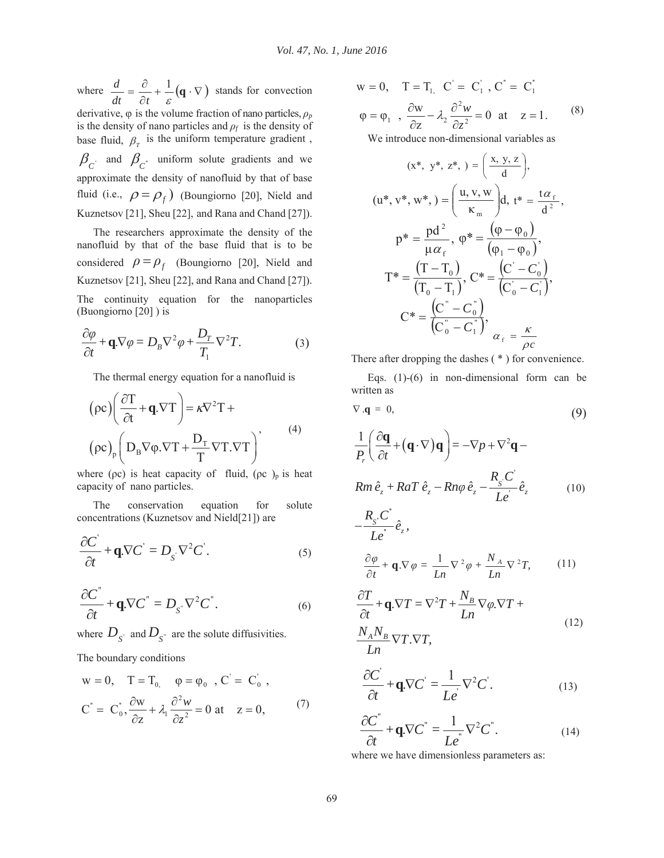where  $\frac{a}{\cdot} = \frac{b}{\cdot} + \frac{1}{\cdot} (\mathbf{q} \cdot \nabla)$  $\partial$  $=\frac{\partial}{\partial t}+\frac{1}{\varepsilon}(\mathbf{q})$ 1  $dt$   $\partial t$  $\frac{d}{dx} = \frac{\partial}{\partial x} + \frac{1}{2}(\mathbf{q} \cdot \nabla)$  stands for convection

derivative,  $\varphi$  is the volume fraction of nano particles,  $\rho_p$ is the density of nano particles and  $\rho_f$  is the density of base fluid,  $\beta_r$  is the uniform temperature gradient,  $\beta_{C'}$  and  $\beta_{C'}$  uniform solute gradients and we approximate the density of nanofluid by that of base fluid (i.e.,  $\rho = \rho_f$ ) (Boungiorno [20], Nield and Kuznetsov [21], Sheu [22], and Rana and Chand [27]).

The researchers approximate the density of the nanofluid by that of the base fluid that is to be considered  $\rho = \rho_f$  (Boungiorno [20], Nield and Kuznetsov [21], Sheu [22], and Rana and Chand [27]).

The continuity equation for the nanoparticles (Buongiorno [20] ) is

$$
\frac{\partial \varphi}{\partial t} + \mathbf{q}.\nabla \varphi = D_B \nabla^2 \varphi + \frac{D_T}{T_1} \nabla^2 T.
$$
 (3)

The thermal energy equation for a nanofluid is

$$
(\rho c) \left( \frac{\partial T}{\partial t} + \mathbf{q}.\nabla T \right) = \kappa \nabla^2 T +
$$
  
\n
$$
(\rho c)_p \left( D_B \nabla \varphi . \nabla T + \frac{D_T}{T} \nabla T . \nabla T \right)
$$
\n(4)

where ( $\rho c$ ) is heat capacity of fluid, ( $\rho c$ )<sub>p</sub> is heat capacity of nano particles.

The conservation equation for solute concentrations (Kuznetsov and Nield[21]) are

$$
\frac{\partial C^{'}}{\partial t} + \mathbf{q} \cdot \nabla C^{'} = D_{S} \cdot \nabla^{2} C^{'}. \tag{5}
$$

$$
\frac{\partial C^{''}}{\partial t} + \mathbf{q} \cdot \nabla C^{''} = D_{S} \cdot \nabla^{2} C^{''}. \tag{6}
$$

where  $D_{S'}$  and  $D_{S''}$  are the solute diffusivities.

The boundary conditions

$$
w = 0, \quad T = T_0, \quad \varphi = \varphi_0, \quad C' = C'_0,
$$
  

$$
C^* = C_0^*, \frac{\partial w}{\partial z} + \lambda_1 \frac{\partial^2 w}{\partial z^2} = 0 \text{ at } z = 0,
$$
 (7)

$$
w = 0, \quad T = T_{1,} \quad C' = C'_{1}, \quad C'' = C'_{1}
$$
\n
$$
\varphi = \varphi_{1}, \quad \frac{\partial w}{\partial z} - \lambda_{2} \frac{\partial^{2} w}{\partial z^{2}} = 0 \quad \text{at} \quad z = 1. \tag{8}
$$

We introduce non-dimensional variables as

$$
(x^*, y^*, z^*) = \left(\frac{x, y, z}{d}\right),
$$
  
\n
$$
(u^*, v^*, w^*) = \left(\frac{u, v, w}{\kappa_m}\right) d, t^* = \frac{t\alpha_f}{d^2},
$$
  
\n
$$
p^* = \frac{pd^2}{\mu \alpha_f}, \ \varphi^* = \frac{(\varphi - \varphi_0)}{(\varphi_1 - \varphi_0)},
$$
  
\n
$$
T^* = \frac{(T - T_0)}{(T_0 - T_1)}, \ C^* = \frac{(C' - C_0)}{(C_0' - C_1)},
$$
  
\n
$$
C^* = \frac{(C^* - C_0^*)}{(C_0^* - C_1^*)}, \ \alpha_f = \frac{\kappa}{\rho c}
$$

There after dropping the dashes ( \* ) for convenience.

Eqs. (1)-(6) in non-dimensional form can be written as

$$
\nabla \cdot \mathbf{q} = 0,\tag{9}
$$

$$
\frac{1}{P_r} \left( \frac{\partial \mathbf{q}}{\partial t} + (\mathbf{q} \cdot \nabla) \mathbf{q} \right) = -\nabla p + \nabla^2 \mathbf{q} -
$$
\n
$$
Rm \hat{e}_z + RaT \hat{e}_z - Rn\varphi \hat{e}_z - \frac{R_s C}{Le'} \hat{e}_z \tag{10}
$$
\n
$$
-\frac{R_s C}{Le'} \hat{e}_z,
$$

$$
\frac{\partial \varphi}{\partial t} + \mathbf{q} \cdot \nabla \varphi = \frac{1}{Ln} \nabla^2 \varphi + \frac{N_A}{Ln} \nabla^2 T, \qquad (11)
$$

$$
\frac{\partial T}{\partial t} + \mathbf{q}.\nabla T = \nabla^2 T + \frac{N_B}{Ln} \nabla \varphi . \nabla T +
$$
\n
$$
\frac{N_A N_B}{Ln} \nabla T . \nabla T,
$$
\n(12)

$$
\frac{\partial C^{\prime}}{\partial t} + \mathbf{q}.\nabla C^{\prime} = \frac{1}{Le^{\prime}} \nabla^2 C^{\prime}.
$$
 (13)

$$
\frac{\partial C^{''}}{\partial t} + \mathbf{q} \cdot \nabla C^{''} = \frac{1}{Le^{''}} \nabla^{2} C^{''}.
$$
 (14)

where we have dimensionless parameters as:

*Le*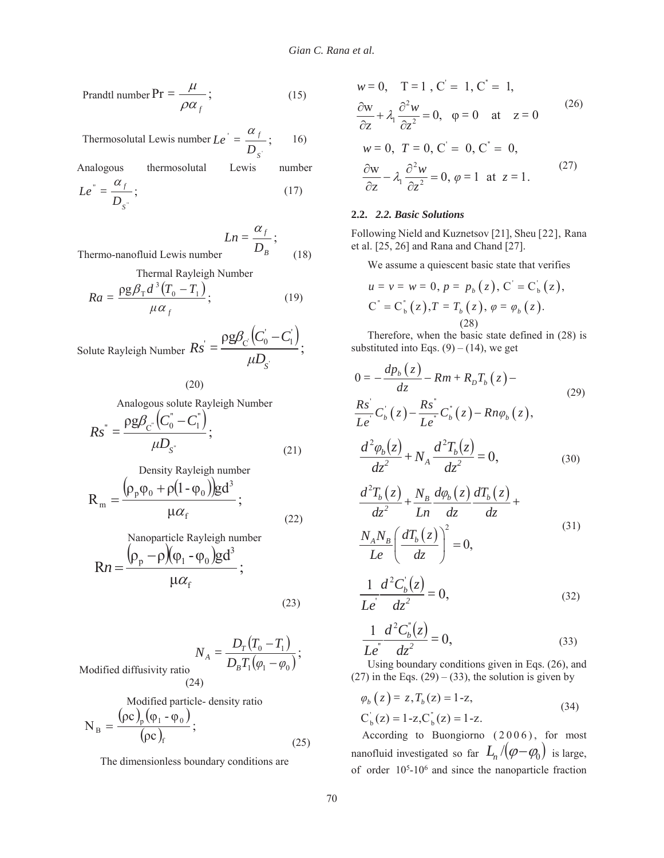$$
Prandtl number Pr = \frac{\mu}{\rho \alpha_f};
$$
\n(15)

Thermosolutal Lewis number  $Le' = \frac{df}{D_{s'}}$ ; ' *S f D*  $Le' = \frac{\alpha}{\alpha}$ 16)

Analogous thermosolutal Lewis number

$$
Le^{"} = \frac{\alpha_f}{D_{S^{"}}};
$$
\n(17)

$$
Ln = \frac{\alpha_f}{D_B};
$$
Thermo-nanofluid Lewis number (18)

Thermal Rayleigh Number

$$
Ra = \frac{\rho g \beta_{\rm T} d^3 (T_0 - T_1)}{\mu \alpha_f};
$$
\n(19)

Solute Rayleigh Number  $Rs' = \frac{\rho g \beta_C (C_0 - C_1)}{\mu D_c}$ ; ' ' 1  $\Gamma \equiv \rho g \beta _{_{\rm C}} \big( C_{0}^{'}$  $\mu D_{\overline{S}}$  $Rs' = \frac{\rho g \beta_c (C_0' - C_0)}{T}$ 

(20)

Analogous solute Rayleigh Number

$$
Rs^{"} = \frac{\rho g \beta_{C}^{'}(C_0^{"} - C_1^{"})}{\mu D_{S^{'}}};
$$
\n(21)

Density Rayleigh number

$$
R_{m} = \frac{(\rho_{p}\phi_{0} + \rho(1 - \phi_{0}))gd^{3}}{\mu\alpha_{f}};
$$
  
Nonoparticle Rayleigh number (22)

$$
Rn = \frac{(\rho_p - \rho)(\rho_1 - \rho_0)gd^3}{\mu\alpha_f};
$$
\n(23)

$$
N_A = \frac{D_T (T_0 - T_1)}{D_B T_1 (\varphi_1 - \varphi_0)};
$$
  
Modified diffusivity ratio (24)

Modified particle- density ratio  $(\rho c)_n (\phi_1 - \phi_0)$  $\frac{\rho(\tau_1 + \tau_0)}{(\rho c)_f};$  $N_B = \frac{(\rho c)_p (\phi_1 - \phi_0)}{(\phi_1 - \phi_0)}$ 

$$
(\rho c)_f \tag{25}
$$

The dimensionless boundary conditions are

$$
w = 0
$$
,  $T = 1$ ,  $C' = 1$ ,  $C' = 1$ ,  
\n $\frac{\partial w}{\partial z} + \lambda_1 \frac{\partial^2 w}{\partial z^2} = 0$ ,  $\varphi = 0$  at  $z = 0$   
\n $w = 0$ ,  $T = 0$ ,  $C' = 0$ ,  $C'' = 0$ ,  
\n $\frac{\partial w}{\partial z} - \lambda_1 \frac{\partial^2 w}{\partial z^2} = 0$ ,  $\varphi = 1$  at  $z = 1$ . (27)

#### **2.2.** *2.2. Basic Solutions*

Following Nield and Kuznetsov [21], Sheu [22], Rana et al. [25, 26] and Rana and Chand [27].

We assume a quiescent basic state that verifies

$$
u = v = w = 0, p = p_b(z), C' = C'_b(z),
$$
  
\n
$$
C^* = C_b^*(z), T = T_b(z), \varphi = \varphi_b(z).
$$
  
\n(28)

Therefore, when the basic state defined in (28) is substituted into Eqs.  $(9) - (14)$ , we get

$$
0 = -\frac{dp_b(z)}{dz} - Rm + R_bT_b(z) -
$$
  
\n
$$
\frac{Rs}{Le'}C_b(z) - \frac{Rs'}{Le'}C_b(z) - Rn\varphi_b(z),
$$
  
\n
$$
\frac{d^2\varphi_b(z)}{dz^2} + N_A \frac{d^2T_b(z)}{dz^2} = 0,
$$
\n(30)

$$
\frac{d^2T_b(z)}{dz^2} + \frac{N_B}{Ln} \frac{d\varphi_b(z)}{dz} \frac{dT_b(z)}{dz} + \frac{N_A N_B}{Le} \left(\frac{dT_b(z)}{dz}\right)^2 = 0,
$$
\n(31)

$$
\frac{1}{Le^i} \frac{d^2C_b(z)}{dz^2} = 0,
$$
\n(32)

$$
\frac{1}{Le^{v}}\frac{d^{2}C_{b}^{v}(z)}{dz^{2}} = 0,
$$
\n(33)

Using boundary conditions given in Eqs. (26), and  $(27)$  in the Eqs.  $(29) - (33)$ , the solution is given by

$$
\varphi_b(z) = z, T_b(z) = 1-z,
$$
  
\n $C_b(z) = 1-z, C_b(z) = 1-z.$  (34)

According to Buongiorno  $(2006)$ , for most nanofluid investigated so far  $L_n/(\varphi-\varphi_0)$  is large, of order  $10<sup>5</sup>$ -10<sup>6</sup> and since the nanoparticle fraction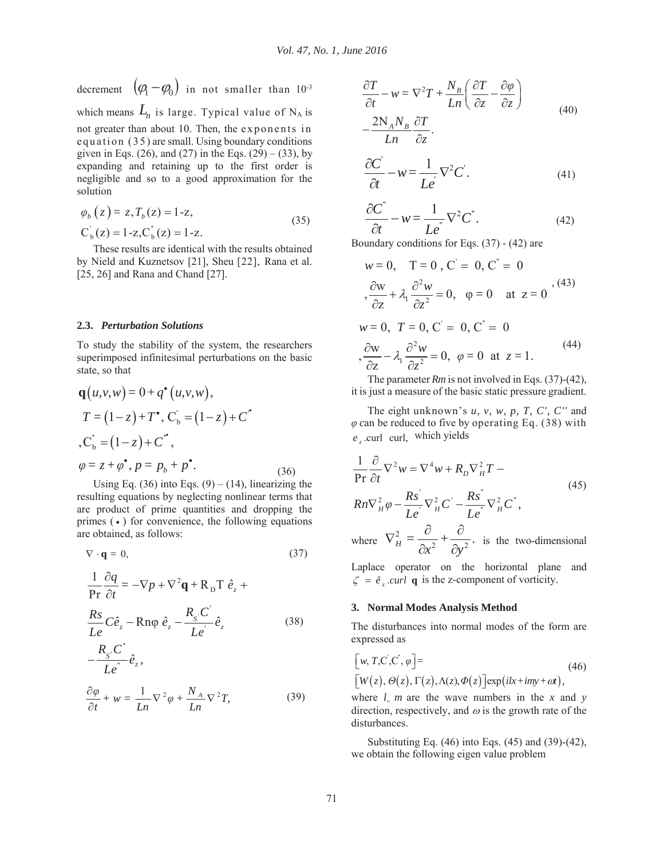decrement  $(\varphi_1 - \varphi_0)$  in not smaller than 10<sup>-3</sup> which means  $L_n$  is large. Typical value of  $N_A$  is not greater than about 10. Then, the exponents in equation (35 ) are small. Using boundary conditions given in Eqs. (26), and (27) in the Eqs. (29) – (33), by expanding and retaining up to the first order is negligible and so to a good approximation for the solution

$$
\varphi_b(z) = z, T_b(z) = 1-z,
$$
  
\n
$$
C_b(z) = 1-z, C_b(z) = 1-z.
$$
\n(35)

These results are identical with the results obtained by Nield and Kuznetsov [21], Sheu [22], Rana et al. [25, 26] and Rana and Chand [27].

#### **2.3.** *Perturbation Solutions*

To study the stability of the system, the researchers superimposed infinitesimal perturbations on the basic state, so that

$$
\mathbf{q}(u, v, w) = 0 + q^{\bullet}(u, v, w), \nT = (1 - z) + T^{\bullet}, C_{b} = (1 - z) + C^{\bullet} \n, C_{b}^{\prime} = (1 - z) + C^{\bullet}, \n\varphi = z + \varphi^{\bullet}, p = p_{b} + p^{\bullet}. \tag{36}
$$

Using Eq. (36) into Eqs. (9) – (14), linearizing the resulting equations by neglecting nonlinear terms that are product of prime quantities and dropping the primes  $(\bullet)$  for convenience, the following equations are obtained, as follows:

$$
\nabla \cdot \mathbf{q} = 0,\tag{37}
$$

$$
\frac{1}{\text{Pr}} \frac{\partial q}{\partial t} = -\nabla p + \nabla^2 q + R_{\text{D}} \text{T} \hat{e}_z +
$$
\n
$$
\frac{R_s}{Le} C \hat{e}_z - R n \varphi \hat{e}_z - \frac{R_s C'}{Le'} \hat{e}_z \tag{38}
$$

$$
-\frac{R_{s} \cdot C'}{Le'} \hat{e}_{z},
$$
  

$$
\partial \varphi \qquad 1 \quad \nabla^{2} \qquad N_{A} \quad \nabla^{2} \mathcal{F}
$$
 (30)

$$
\frac{\partial \varphi}{\partial t} + w = \frac{1}{Ln} \nabla^2 \varphi + \frac{N_A}{Ln} \nabla^2 T,
$$
 (39)

$$
\frac{\partial T}{\partial t} - w = \nabla^2 T + \frac{N_B}{Ln} \left( \frac{\partial T}{\partial z} - \frac{\partial \varphi}{\partial z} \right)
$$
  

$$
- \frac{2N_A N_B}{Ln} \frac{\partial T}{\partial z}.
$$
 (40)

$$
\frac{\partial C'}{\partial t} - w = \frac{1}{Le'} \nabla^2 C.
$$
 (41)

$$
\frac{\partial C^{''}}{\partial t} - w = \frac{1}{Le^{''}} \nabla^{2} C^{''}.
$$
 (42)

Boundary conditions for Eqs. (37) - (42) are

$$
w = 0, T = 0, C' = 0, C' = 0
$$
  

$$
\frac{\partial w}{\partial z} + \lambda_1 \frac{\partial^2 w}{\partial z^2} = 0, \varphi = 0 \text{ at } z = 0
$$
  

$$
w = 0, T = 0, C' = 0, C' = 0
$$
  

$$
\frac{\partial w}{\partial z} - \lambda_1 \frac{\partial^2 w}{\partial z^2} = 0, \varphi = 0 \text{ at } z = 1.
$$
 (44)

The parameter *Rm* is not involved in Eqs. (37)-(42), it is just a measure of the basic static pressure gradient.

The eight unknown's *u, v, w, p, T, C', C''* and  $\varphi$  can be reduced to five by operating Eq. (38) with e .curl curl, which yields

$$
\frac{1}{\Pr} \frac{\partial}{\partial t} \nabla^2 w = \nabla^4 w + R_D \nabla_H^2 T -
$$
\n
$$
Rn \nabla_H^2 \varphi - \frac{R s^2}{L e^2} \nabla_H^2 C^2 - \frac{R s^2}{L e^2} \nabla_H^2 C^2,
$$
\nwhere 
$$
\nabla_H^2 = \frac{\partial}{\partial x^2} + \frac{\partial}{\partial y^2}.
$$
 is the two-dimensional

Laplace operator on the horizontal plane and  $\zeta = \hat{e}$ , *curl* **q** is the z-component of vorticity.

#### **3. Normal Modes Analysis Method**

The disturbances into normal modes of the form are expressed as

$$
[w, T, C', C', \varphi] =
$$
  
\n
$$
[W(z), \Theta(z), \Gamma(z), \Lambda(z), \Phi(z)] \exp(ikx + imy + \omega t),
$$
\n(46)

where  $l$ , *m* are the wave numbers in the *x* and *y* direction, respectively, and  $\omega$  is the growth rate of the disturbances.

Substituting Eq. (46) into Eqs. (45) and (39)-(42), we obtain the following eigen value problem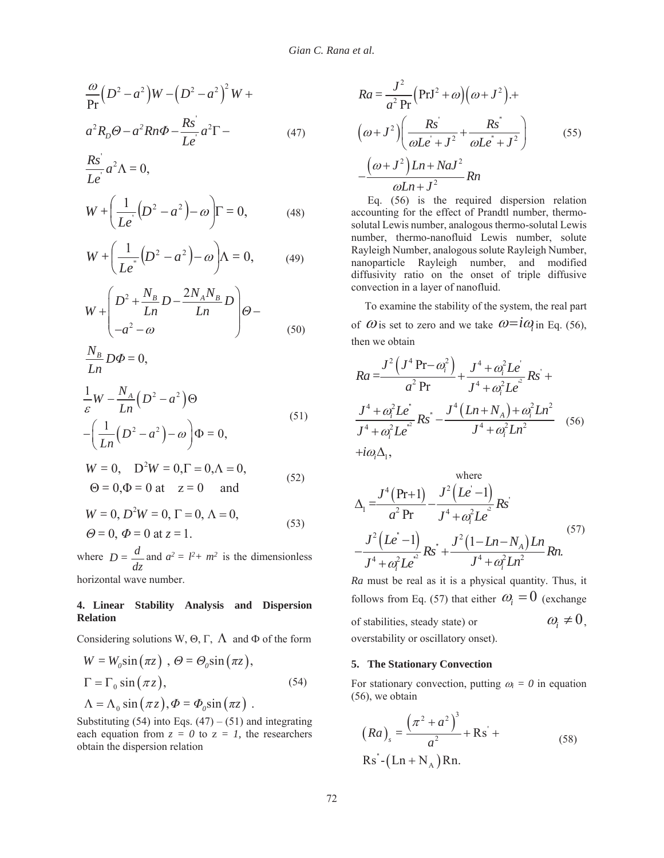$$
\frac{\omega}{\text{Pr}}\left(D^2 - a^2\right)W - \left(D^2 - a^2\right)^2 W +
$$
\n
$$
a^2 R_D \Theta - a^2 R n \Phi - \frac{R s'}{L e} a^2 \Gamma - \tag{47}
$$

$$
\frac{Rs^2}{Le^i}a^2\Lambda=0,
$$

$$
W + \left(\frac{1}{Le^{'}}(D^{2} - a^{2}) - \omega\right)\Gamma = 0, \tag{48}
$$

$$
W + \left(\frac{1}{Le^{''}}\left(D^{2} - a^{2}\right) - \omega\right) \Lambda = 0, \qquad (49)
$$

$$
W + \left(\frac{D^2 + \frac{N_B}{Ln}D - \frac{2N_A N_B}{Ln}D}{-a^2 - \omega}\right)\Theta - \left(\frac{50}{2}\right)
$$

$$
\frac{N_B}{Ln}D\Phi = 0,
$$
  

$$
\frac{1}{2}W - \frac{N_A}{2}(D^2 - a^2)\Theta
$$

$$
\frac{1}{\varepsilon}W - \frac{N_A}{Ln}(D^2 - a^2)\Theta
$$
\n
$$
-\left(\frac{1}{Ln}(D^2 - a^2) - \omega\right)\Phi = 0,
$$
\n(51)

$$
W = 0
$$
,  $D^2 W = 0$ ,  $\Gamma = 0$ ,  $\Lambda = 0$ ,  
\n $\Theta = 0$ ,  $\Phi = 0$  at  $z = 0$  and (52)

$$
W = 0, D2W = 0, \Gamma = 0, \Lambda = 0,
$$
  
\n
$$
\Theta = 0, \Phi = 0 \text{ at } z = 1.
$$
 (53)

where *dz*  $D = \frac{d}{dx}$  and  $a^2 = l^2 + m^2$  is the dimensionless horizontal wave number.

# **4. Linear Stability Analysis and Dispersion Relation**

Considering solutions W,  $\Theta$ ,  $\Gamma$ ,  $\Lambda$  and  $\Phi$  of the form

$$
W = W_0 \sin(\pi z), \quad \Theta = \Theta_0 \sin(\pi z),
$$
  
\n
$$
\Gamma = \Gamma_0 \sin(\pi z),
$$
  
\n
$$
\Lambda = \Lambda_0 \sin(\pi z), \quad \Phi = \Phi_0 \sin(\pi z).
$$
\n(54)

Substituting (54) into Eqs.  $(47) - (51)$  and integrating each equation from  $z = 0$  to  $z = 1$ , the researchers obtain the dispersion relation

$$
Ra = \frac{J^2}{a^2 \text{ Pr}} \Big( \text{PrJ}^2 + \omega \Big) \Big( \omega + J^2 \Big) +
$$
  
\n
$$
\Big( \omega + J^2 \Big) \Big( \frac{Rs'}{\omega L e' + J^2} + \frac{Rs'}{\omega L e' + J^2} \Big)
$$
  
\n
$$
-\frac{\Big( \omega + J^2 \Big) L n + N a J^2}{\omega L n + J^2} R n
$$
\n(55)

Eq. (56) is the required dispersion relation accounting for the effect of Prandtl number, thermosolutal Lewis number, analogous thermo-solutal Lewis number, thermo-nanofluid Lewis number, solute Rayleigh Number, analogous solute Rayleigh Number, nanoparticle Rayleigh number, and modified diffusivity ratio on the onset of triple diffusive convection in a layer of nanofluid.

 To examine the stability of the system, the real part of  $\omega$  is set to zero and we take  $\omega = i\omega$  in Eq. (56), then we obtain

$$
Ra = \frac{J^{2} (J^{4} \text{Pr} - \omega_{i}^{2})}{a^{2} \text{Pr}} + \frac{J^{4} + \omega_{i}^{2} L e^{i}}{J^{4} + \omega_{i}^{2} L e^{i}} R s^{i} + \frac{J^{4} + \omega_{i}^{2} L e^{i}}{J^{4} + \omega_{i}^{2} L e^{i}} R s^{i} - \frac{J^{4} (L n + N_{A}) + \omega_{i}^{2} L n^{2}}{J^{4} + \omega_{i}^{2} L n^{2}} (56) + i\omega_{i} \Delta_{1},
$$

where  
\n
$$
\Delta_1 = \frac{J^4 (Pr+1)}{a^2 Pr} - \frac{J^2 (Le-1)}{J^4 + \omega_i^2 Le^2} Rs
$$
\n
$$
- \frac{J^2 (Le-1)}{J^4 + \omega_i^2 Le^2} Rs^2 + \frac{J^2 (1 - Ln - N_A) Ln}{J^4 + \omega_i^2 Ln^2} Rn.
$$
\n(57)

*Ra* must be real as it is a physical quantity. Thus, it follows from Eq. (57) that either  $\omega_i = 0$  (exchange of stabilities, steady state) or  $\omega_i \neq 0$ , overstability or oscillatory onset).

# **5. The Stationary Convection**

For stationary convection, putting  $\omega_i = 0$  in equation (56), we obtain

$$
(Ra)_{s} = \frac{(\pi^{2} + a^{2})^{3}}{a^{2}} + \text{Rs}' +
$$
  
\nRs'' - (Ln + N<sub>A</sub>) Rn. (58)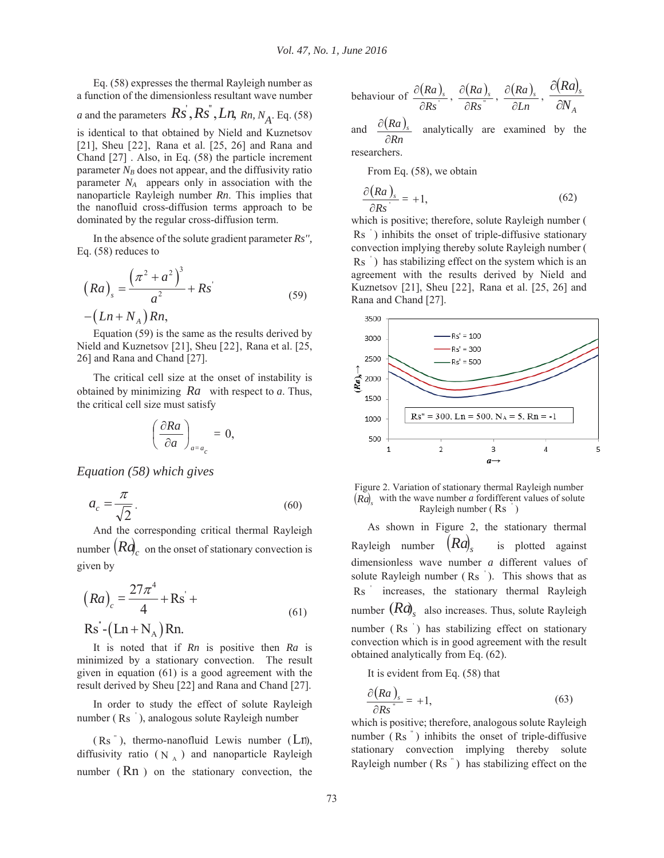Eq. (58) expresses the thermal Rayleigh number as a function of the dimensionless resultant wave number *a* and the parameters  $\overrightarrow{Rs}$ ,  $\overrightarrow{Rs}$ ,  $\overrightarrow{Ln}$ ,  $\overrightarrow{Rn}$ ,  $\overrightarrow{N_A}$ . Eq. (58) is identical to that obtained by Nield and Kuznetsov [21], Sheu [22], Rana et al. [25, 26] and Rana and Chand [27] . Also, in Eq. (58) the particle increment parameter  $N_B$  does not appear, and the diffusivity ratio parameter  $N_A$  appears only in association with the nanoparticle Rayleigh number *Rn*. This implies that the nanofluid cross-diffusion terms approach to be dominated by the regular cross-diffusion term.

In the absence of the solute gradient parameter *Rs'',* Eq. (58) reduces to

$$
(Ra)_{s} = \frac{(\pi^{2} + a^{2})^{3}}{a^{2}} + Rs^{2}
$$
  
-(Ln + N<sub>A</sub>) Rn, (59)

Equation (59) is the same as the results derived by Nield and Kuznetsov [21], Sheu [22], Rana et al. [25, 26] and Rana and Chand [27].

The critical cell size at the onset of instability is obtained by minimizing *Ra* with respect to *a*. Thus, the critical cell size must satisfy

$$
\left(\frac{\partial Ra}{\partial a}\right)_{a=a_c}=0,
$$

*Equation (58) which gives* 

$$
a_c = \frac{\pi}{\sqrt{2}}.\tag{60}
$$

And the corresponding critical thermal Rayleigh number  $(Rd)$ <sub>c</sub> on the onset of stationary convection is given by

$$
(Ra)c = \frac{27\pi^{4}}{4} + Rs^{2} +
$$
  
Rs<sup>\*</sup> - (Ln + N<sub>A</sub>)Rn. (61)

It is noted that if *Rn* is positive then *Ra* is minimized by a stationary convection. The result given in equation (61) is a good agreement with the result derived by Sheu [22] and Rana and Chand [27].

In order to study the effect of solute Rayleigh number  $(Rs'$ ), analogous solute Rayleigh number

 $(Rs'')$ , thermo-nanofluid Lewis number  $(Ln)$ , diffusivity ratio  $(N_A)$  and nanoparticle Rayleigh number  $(Rn)$  on the stationary convection, the

behavior of 
$$
\frac{\partial (Ra)_s}{\partial Rs}
$$
,  $\frac{\partial (Ra)_s}{\partial Rs}$ ,  $\frac{\partial (Ra)_s}{\partial Ln}$ ,  $\frac{\partial (Ra)_s}{\partial N_A}$ 

and  $\frac{\partial (Ra)}{\partial (Ra)}$ *Rn Ra <sup>s</sup>*  $\partial$  $\frac{\partial (Ra)}{g}$  analytically are examined by the researchers.

From Eq. (58), we obtain

$$
\frac{\partial (Ra)}{\partial Rs} = +1,\tag{62}
$$

which is positive; therefore, solute Rayleigh number ( Rs<sup>'</sup>) inhibits the onset of triple-diffusive stationary convection implying thereby solute Rayleigh number ( Rs ) has stabilizing effect on the system which is an agreement with the results derived by Nield and Kuznetsov [21], Sheu [22], Rana et al. [25, 26] and Rana and Chand [27].



Figure 2. Variation of stationary thermal Rayleigh number  $(Ra)$  with the wave number *a* fordifferent values of solute Rayleigh number  $(Rs)$ 

As shown in Figure 2, the stationary thermal Rayleigh number  $(Ra)$  is plotted against dimensionless wave number *a* different values of solute Rayleigh number  $(Rs')$ . This shows that as Rs increases, the stationary thermal Rayleigh number  $(Ra)$ <sub>s</sub> also increases. Thus, solute Rayleigh number  $(Rs'')$  has stabilizing effect on stationary convection which is in good agreement with the result obtained analytically from Eq. (62).

It is evident from Eq. (58) that

$$
\frac{\partial (Ra)}{\partial Rs} = +1,\tag{63}
$$

which is positive; therefore, analogous solute Rayleigh number  $(Rs'')$  inhibits the onset of triple-diffusive stationary convection implying thereby solute Rayleigh number  $(Rs'')$  has stabilizing effect on the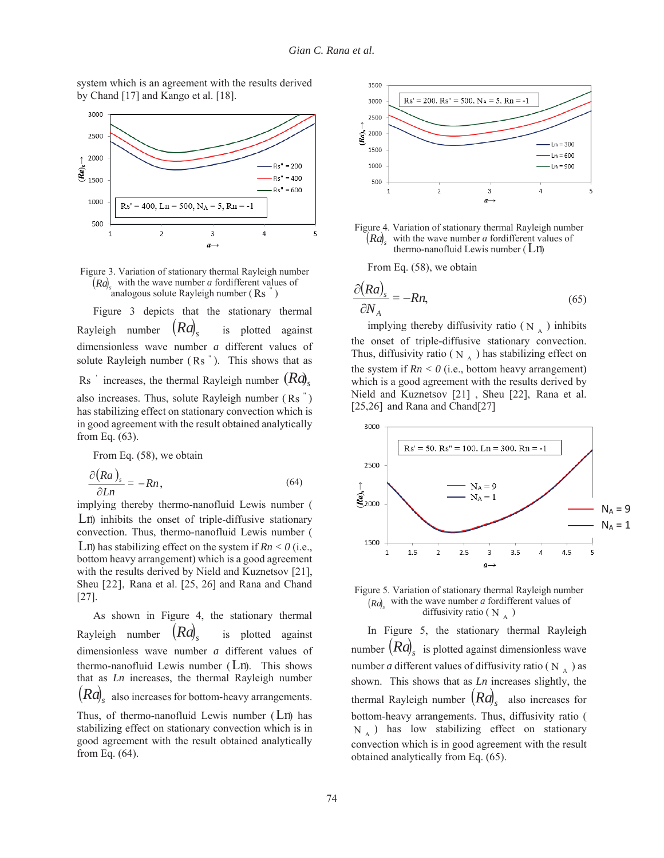system which is an agreement with the results derived by Chand [17] and Kango et al. [18].



Figure 3. Variation of stationary thermal Rayleigh number  $(Ra)$  with the wave number *a* fordifferent values of analogous solute Rayleigh number  $(Rs)$ 

Figure 3 depicts that the stationary thermal Rayleigh number  $(Ra)$ <sub>s</sub> is plotted against dimensionless wave number *a* different values of solute Rayleigh number  $(Rs'')$ . This shows that as  $\operatorname{Rs}$  ' increases, the thermal Rayleigh number  $\left(Rd\right)_s$ also increases. Thus, solute Rayleigh number  $(Rs'')$ has stabilizing effect on stationary convection which is in good agreement with the result obtained analytically from Eq. (63).

From Eq. (58), we obtain

$$
\frac{\partial (Ra)}{\partial Ln} = -Rn, \tag{64}
$$

implying thereby thermo-nanofluid Lewis number ( Ln) inhibits the onset of triple-diffusive stationary convection. Thus, thermo-nanofluid Lewis number ( Ln) has stabilizing effect on the system if  $Rn < 0$  (i.e., bottom heavy arrangement) which is a good agreement with the results derived by Nield and Kuznetsov [21], Sheu [22], Rana et al. [25, 26] and Rana and Chand [27].

As shown in Figure 4, the stationary thermal Rayleigh number  $(Ra)$ , is plotted against dimensionless wave number *a* different values of thermo-nanofluid Lewis number (Ln). This shows that as *Ln* increases, the thermal Rayleigh number  $(Ra)$ <sub>s</sub> also increases for bottom-heavy arrangements.

Thus, of thermo-nanofluid Lewis number  $(Ln)$  has stabilizing effect on stationary convection which is in good agreement with the result obtained analytically from Eq. (64).





From Eq. (58), we obtain

$$
\frac{\partial (Ra)}{\partial N_A} = -Rn,\tag{65}
$$

implying thereby diffusivity ratio ( $N_A$ ) inhibits the onset of triple-diffusive stationary convection. Thus, diffusivity ratio ( $N_A$ ) has stabilizing effect on the system if  $Rn < 0$  (i.e., bottom heavy arrangement) which is a good agreement with the results derived by Nield and Kuznetsov [21] , Sheu [22], Rana et al. [25,26] and Rana and Chand[27]





In Figure 5, the stationary thermal Rayleigh number  $(Ra)$ <sub>s</sub> is plotted against dimensionless wave number *a* different values of diffusivity ratio ( $N_A$ ) as shown. This shows that as *Ln* increases slightly, the thermal Rayleigh number  $(Ra)$ <sub>s</sub> also increases for bottom-heavy arrangements. Thus, diffusivity ratio (  $N_A$ ) has low stabilizing effect on stationary convection which is in good agreement with the result obtained analytically from Eq. (65).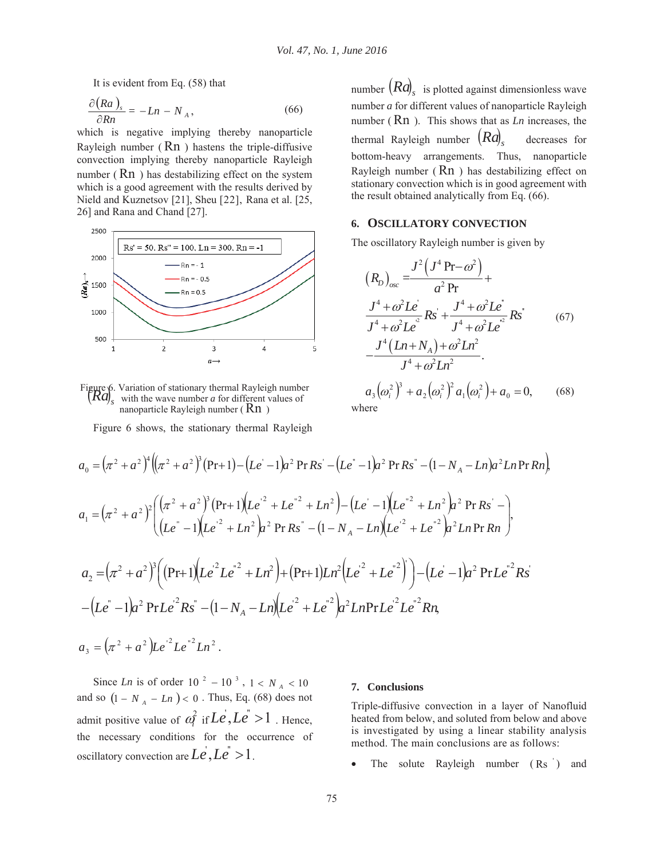It is evident from Eq. (58) that

$$
\frac{\partial (Ra)}{\partial Rn} = -Ln - N_A, \qquad (66)
$$

which is negative implying thereby nanoparticle Rayleigh number  $(Rn)$  hastens the triple-diffusive convection implying thereby nanoparticle Rayleigh number  $(Rn)$  has destabilizing effect on the system which is a good agreement with the results derived by Nield and Kuznetsov [21], Sheu [22], Rana et al. [25, 26] and Rana and Chand [27].



Figure 6. Variation of stationary thermal Rayleigh number  $\left[\mathit{Ra}\right]_s$  with the wave number *a* for different values of nanoparticle Rayleigh number  $(Rn)$ 

Figure 6 shows, the stationary thermal Rayleigh

number  $(Ra)$ <sub>s</sub> is plotted against dimensionless wave number *a* for different values of nanoparticle Rayleigh number (Rn ). This shows that as *Ln* increases, the thermal Rayleigh number  $(Ra)$ , decreases for bottom-heavy arrangements. Thus, nanoparticle Rayleigh number  $(Rn)$  has destabilizing effect on stationary convection which is in good agreement with the result obtained analytically from Eq. (66).

#### **6. OSCILLATORY CONVECTION**

The oscillatory Rayleigh number is given by

$$
(R_D)_{osc} = \frac{J^2 (J^4 \text{Pr} - \omega^2)}{\alpha^2 \text{Pr}} +
$$
  

$$
\frac{J^4 + \omega^2 L e^2}{J^4 + \omega^2 L e^2} R s^2 + \frac{J^4 + \omega^2 L e^2}{J^4 + \omega^2 L e^2} R s^3
$$
 (67)  

$$
-\frac{J^4 (Ln + N_A) + \omega^2 Ln^2}{J^4 + \omega^2 Ln^2}.
$$

 $a_3(\omega_i^2)^3 + a_2(\omega_i^2)^2 a_1(\omega_i^2) + a_0 = 0,$  (68) where

$$
a_0 = (\pi^2 + a^2)^4 ((\pi^2 + a^2)^3 (Pr + 1) - (Le' - 1)a^2 PrRs' - (Le' - 1)a^2 PrRs' - (1 - N_A - Ln)a^2 Ln PrRn),
$$
  
\n
$$
a_1 = (\pi^2 + a^2)^2 ((\pi^2 + a^2)^3 (Pr + 1)(Le'^2 + Le''^2 + Ln^2) - (Le' - 1)(Le''^2 + Ln^2)a^2 PrRs' - (Le' - 1)(Le''^2 + Le''^2)a^2 PrRs' - (1 - N_A - Ln)(Le'^2 + Le''^2)a^2 Ln PrRn),
$$
  
\n
$$
a_2 = (\pi^2 + a^2)^3 ((Pr + 1)(Le'^2 Le''^2 + Ln^2) + (Pr + 1)Ln^2 (Le'^2 + Le''^2)) - (Le' - 1)a^2 PrLe''^2Rs' - (Le'' - 1)a^2 PrLe'^2 Rs' - (1 - N_A - Ln)(Le'^2 + Le''^2)a^2 LnPrLe'^2 Le''^2 Rn),
$$
  
\n
$$
a_3 = (\pi^2 + a^2)Le'^2 Le''^2 Ln^2.
$$

Since *Ln* is of order  $10^{-2} - 10^{-3}$ ,  $1 < N_A < 10$ and so  $(1 - N_A - Ln) < 0$ . Thus, Eq. (68) does not admit positive value of  $\alpha_i^2$  if  $Le$ ,  $Le^2 > 1$ . Hence, the necessary conditions for the occurrence of oscillatory convection are  $Le^i$ ,  $Le^i > 1$ .

#### **7. Conclusions**

Triple-diffusive convection in a layer of Nanofluid heated from below, and soluted from below and above is investigated by using a linear stability analysis method. The main conclusions are as follows:

The solute Rayleigh number  $(Rs')$  and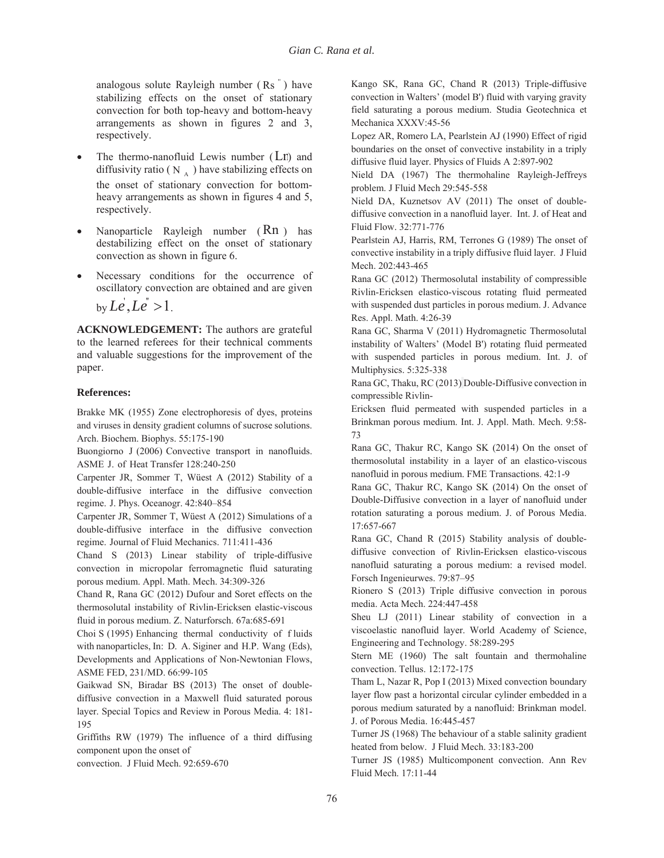analogous solute Rayleigh number  $(Rs)$  have stabilizing effects on the onset of stationary convection for both top-heavy and bottom-heavy arrangements as shown in figures 2 and 3, respectively.

- The thermo-nanofluid Lewis number  $(Lr)$  and diffusivity ratio ( $N_A$ ) have stabilizing effects on the onset of stationary convection for bottomheavy arrangements as shown in figures 4 and 5, respectively.
- Nanoparticle Rayleigh number (Rn) has destabilizing effect on the onset of stationary convection as shown in figure 6.
- Necessary conditions for the occurrence of oscillatory convection are obtained and are given

by  $Le$ ,  $Le^{\prime} > 1$ .

**ACKNOWLEDGEMENT:** The authors are grateful to the learned referees for their technical comments and valuable suggestions for the improvement of the paper.

# **References:**

Brakke MK (1955) Zone electrophoresis of dyes, proteins and viruses in density gradient columns of sucrose solutions. Arch. Biochem. Biophys. 55:175-190

Buongiorno J (2006) Convective transport in nanofluids. ASME J. of Heat Transfer 128:240-250

Carpenter JR, Sommer T, Wüest A (2012) Stability of a double-diffusive interface in the diffusive convection regime. J. Phys. Oceanogr. 42:840–854

Carpenter JR, Sommer T, Wüest A (2012) Simulations of a double-diffusive interface in the diffusive convection regime. Journal of Fluid Mechanics. 711:411-436

Chand S (2013) Linear stability of triple-diffusive convection in micropolar ferromagnetic fluid saturating porous medium. Appl. Math. Mech. 34:309-326

Chand R, Rana GC (2012) Dufour and Soret effects on the thermosolutal instability of Rivlin-Ericksen elastic-viscous fluid in porous medium. Z. Naturforsch. 67a:685-691

Choi S (1995) Enhancing thermal conductivity of f luids with nanoparticles, In: D. A. Siginer and H.P. Wang (Eds), Developments and Applications of Non-Newtonian Flows, ASME FED, 231/MD. 66:99-105

Gaikwad SN, Biradar BS (2013) The onset of doublediffusive convection in a Maxwell fluid saturated porous layer. Special Topics and Review in Porous Media. 4: 181- 195

Griffiths RW (1979) The influence of a third diffusing component upon the onset of

convection. J Fluid Mech. 92:659-670

Kango SK, Rana GC, Chand R (2013) Triple-diffusive convection in Walters' (model B') fluid with varying gravity field saturating a porous medium. Studia Geotechnica et Mechanica XXXV:45-56

Lopez AR, Romero LA, Pearlstein AJ (1990) Effect of rigid boundaries on the onset of convective instability in a triply diffusive fluid layer. Physics of Fluids A 2:897-902

Nield DA (1967) The thermohaline Rayleigh-Jeffreys problem. J Fluid Mech 29:545-558

Nield DA, Kuznetsov AV (2011) The onset of doublediffusive convection in a nanofluid layer. Int. J. of Heat and Fluid Flow. 32:771-776

Pearlstein AJ, Harris, RM, Terrones G (1989) The onset of convective instability in a triply diffusive fluid layer. J Fluid Mech. 202:443-465

Rana GC (2012) Thermosolutal instability of compressible Rivlin-Ericksen elastico-viscous rotating fluid permeated with suspended dust particles in porous medium. J. Advance Res. Appl. Math. 4:26-39

Rana GC, Sharma V (2011) Hydromagnetic Thermosolutal instability of Walters' (Model B') rotating fluid permeated with suspended particles in porous medium. Int. J. of Multiphysics. 5:325-338

Rana GC, Thaku, RC (2013) Double-Diffusive convection in compressible Rivlin-

Ericksen fluid permeated with suspended particles in a Brinkman porous medium. Int. J. Appl. Math. Mech. 9:58- 73

Rana GC, Thakur RC, Kango SK (2014) On the onset of thermosolutal instability in a layer of an elastico-viscous nanofluid in porous medium. FME Transactions. 42:1-9

Rana GC, Thakur RC, Kango SK (2014) On the onset of Double-Diffusive convection in a layer of nanofluid under rotation saturating a porous medium. J. of Porous Media. 17:657-667

Rana GC, Chand R (2015) Stability analysis of doublediffusive convection of Rivlin-Ericksen elastico-viscous nanofluid saturating a porous medium: a revised model. Forsch Ingenieurwes. 79:87–95

Rionero S (2013) Triple diffusive convection in porous media. Acta Mech. 224:447-458

Sheu LJ (2011) Linear stability of convection in a viscoelastic nanofluid layer. World Academy of Science, Engineering and Technology. 58:289-295

Stern ME (1960) The salt fountain and thermohaline convection. Tellus. 12:172-175

Tham L, Nazar R, Pop I (2013) Mixed convection boundary layer flow past a horizontal circular cylinder embedded in a porous medium saturated by a nanofluid: Brinkman model. J. of Porous Media. 16:445-457

Turner JS (1968) The behaviour of a stable salinity gradient heated from below. J Fluid Mech. 33:183-200

Turner JS (1985) Multicomponent convection. Ann Rev Fluid Mech. 17:11-44